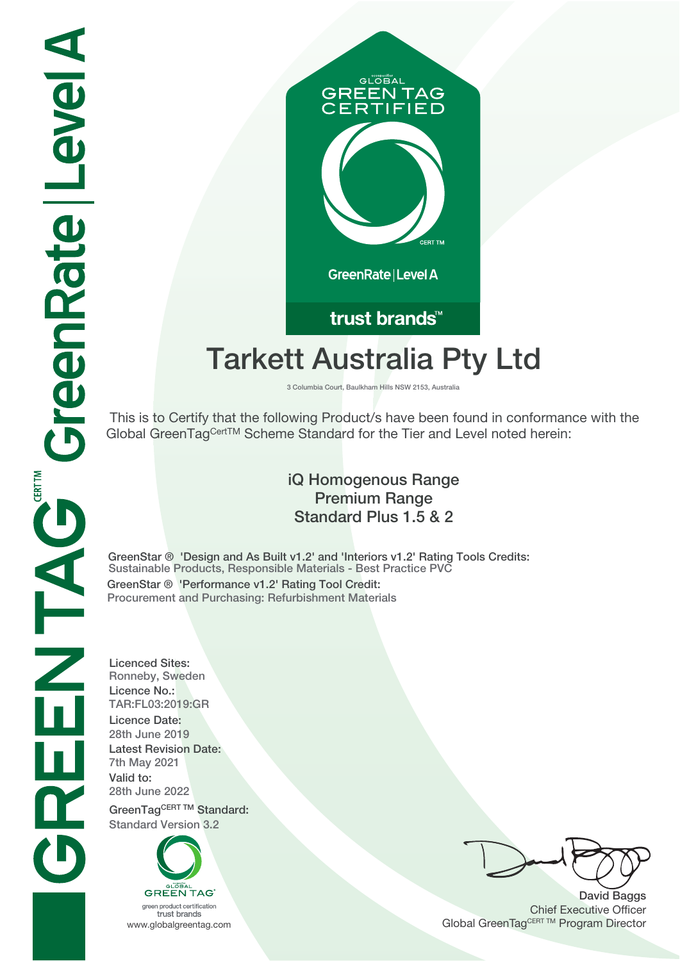# GLOBAL **GREEN TAG IFIED** GreenRate | Level A

## trust brands<sup>™</sup>

# **Tarkett Australia Pty Ltd**

**3 Columbia Court, Baulkham Hills NSW 2153, Australia**

 This is to Certify that the following Product/s have been found in conformance with the Global GreenTagCertTM Scheme Standard for the Tier and Level noted herein:

#### **iQ Homogenous Range Premium Range Standard Plus 1.5 & 2**

**GreenStar ® 'Design and As Built v1.2' and 'Interiors v1.2' Rating Tools Credits: Sustainable Products, Responsible Materials - Best Practice PVC GreenStar ® 'Performance v1.2' Rating Tool Credit: Procurement and Purchasing: Refurbishment Materials**

**Licenced Sites: Ronneby, Sweden Licence No.: TAR:FL03:2019:GR Licence Date: 28th June 2019 Latest Revision Date: 7th May 2021 Valid to: 28th June 2022** GreenTagCERT TM Standard:

**Standard Version 3.2**



trust brands

**David Baggs** Chief Executive Officer WWW.globalgreentag.com **Program Director** Channel Global GreenTagCERT TM Program Director